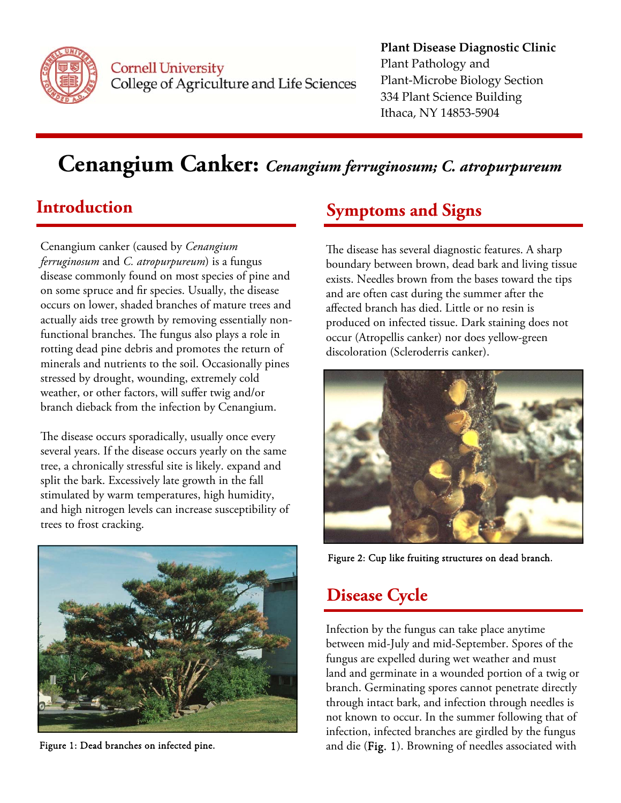

**Cornell University** College of Agriculture and Life Sciences **Plant Disease Diagnostic Clinic** Plant Pathology and Plant‐Microbe Biology Section 334 Plant Science Building Ithaca, NY 14853‐5904

# **Cenangium Canker:** *Cenangium ferruginosum; C. atropurpureum*

# **Introduction**

Cenangium canker (caused by *Cenangium ferruginosum* and *C. atropurpureum*) is a fungus disease commonly found on most species of pine and on some spruce and fir species. Usually, the disease occurs on lower, shaded branches of mature trees and actually aids tree growth by removing essentially nonfunctional branches. The fungus also plays a role in rotting dead pine debris and promotes the return of minerals and nutrients to the soil. Occasionally pines stressed by drought, wounding, extremely cold weather, or other factors, will suffer twig and/or branch dieback from the infection by Cenangium.

The disease occurs sporadically, usually once every several years. If the disease occurs yearly on the same tree, a chronically stressful site is likely. expand and split the bark. Excessively late growth in the fall stimulated by warm temperatures, high humidity, and high nitrogen levels can increase susceptibility of trees to frost cracking.



Figure 1: Dead branches on infected pine.

### **Symptoms and Signs**

The disease has several diagnostic features. A sharp boundary between brown, dead bark and living tissue exists. Needles brown from the bases toward the tips and are often cast during the summer after the affected branch has died. Little or no resin is produced on infected tissue. Dark staining does not occur (Atropellis canker) nor does yellow-green discoloration (Scleroderris canker).



Figure 2: Cup like fruiting structures on dead branch.

### **Disease Cycle**

Infection by the fungus can take place anytime between mid-July and mid-September. Spores of the fungus are expelled during wet weather and must land and germinate in a wounded portion of a twig or branch. Germinating spores cannot penetrate directly through intact bark, and infection through needles is not known to occur. In the summer following that of infection, infected branches are girdled by the fungus and die (Fig. 1). Browning of needles associated with